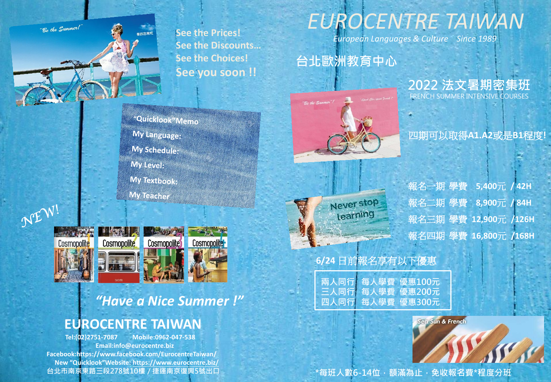-<br>"Be the Summer!

**See the Prices! See the Discounts… See the Choices! See you soon !!**

# *EUROCENTRE TAIWAN*

*European Languages & Culture Since 1989*

#### 台北歐洲教育中心



2022 法文暑期密集班 FRENCH SUMMER INTENSIVE COURSES

#### 四期可以取得**A1.A2**或是**B1**程度**!**



報名一期學費 **5,400**元 **/ 42H** 報名二期學費 **8,900**元 **/ 84H** 報名三期學費 **12,900**元 **/126H** 報名四期學費 **16,800**元 **/168H**

#### **6/24** 日前報名享有以下優惠

兩人同行 每人學費 優惠100元 三人同行 每人學費 優惠200元 四人同行 每人學費 優惠300元

\*每班人數6-14位, 額滿為止, 免收報名費\*程度分班

Sea Sun & French

"Quicklook"Memo My Language: My Schedule: My Level: My Textbook: **My Teacher** 



最假密集班

### *"Have a Nice Summer !"*

#### **EUROCENTRE TAIWAN**

 **Tel:(02)2751-7087 Mobile:0962-047-538 Email:info@eurocentre.biz Facebook:https://www.facebook.com/EurocentreTaiwan/ New "Quicklook"Website: https://www.eurocentre.biz/** 台北市南京東路三段278號10樓 / 捷運南京復興5號出口